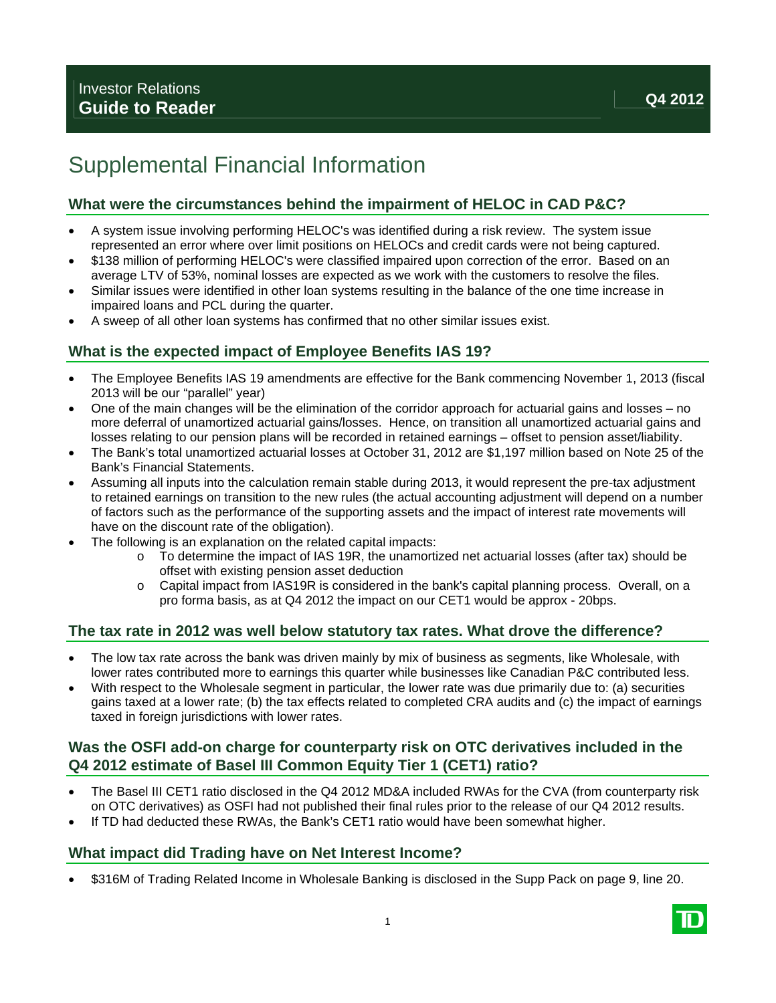# Supplemental Financial Information

### **What were the circumstances behind the impairment of HELOC in CAD P&C?**

- A system issue involving performing HELOC's was identified during a risk review. The system issue represented an error where over limit positions on HELOCs and credit cards were not being captured.
- \$138 million of performing HELOC's were classified impaired upon correction of the error. Based on an average LTV of 53%, nominal losses are expected as we work with the customers to resolve the files.
- Similar issues were identified in other loan systems resulting in the balance of the one time increase in impaired loans and PCL during the quarter.
- A sweep of all other loan systems has confirmed that no other similar issues exist.

## **What is the expected impact of Employee Benefits IAS 19?**

- The Employee Benefits IAS 19 amendments are effective for the Bank commencing November 1, 2013 (fiscal 2013 will be our "parallel" year)
- One of the main changes will be the elimination of the corridor approach for actuarial gains and losses no more deferral of unamortized actuarial gains/losses. Hence, on transition all unamortized actuarial gains and losses relating to our pension plans will be recorded in retained earnings – offset to pension asset/liability.
- The Bank's total unamortized actuarial losses at October 31, 2012 are \$1,197 million based on Note 25 of the Bank's Financial Statements.
- Assuming all inputs into the calculation remain stable during 2013, it would represent the pre-tax adjustment to retained earnings on transition to the new rules (the actual accounting adjustment will depend on a number of factors such as the performance of the supporting assets and the impact of interest rate movements will have on the discount rate of the obligation).
- The following is an explanation on the related capital impacts:
	- o To determine the impact of IAS 19R, the unamortized net actuarial losses (after tax) should be offset with existing pension asset deduction
	- o Capital impact from IAS19R is considered in the bank's capital planning process. Overall, on a pro forma basis, as at Q4 2012 the impact on our CET1 would be approx - 20bps.

### **The tax rate in 2012 was well below statutory tax rates. What drove the difference?**

- The low tax rate across the bank was driven mainly by mix of business as segments, like Wholesale, with lower rates contributed more to earnings this quarter while businesses like Canadian P&C contributed less.
- With respect to the Wholesale segment in particular, the lower rate was due primarily due to: (a) securities gains taxed at a lower rate; (b) the tax effects related to completed CRA audits and (c) the impact of earnings taxed in foreign jurisdictions with lower rates.

## **Was the OSFI add-on charge for counterparty risk on OTC derivatives included in the Q4 2012 estimate of Basel III Common Equity Tier 1 (CET1) ratio?**

- The Basel III CET1 ratio disclosed in the Q4 2012 MD&A included RWAs for the CVA (from counterparty risk on OTC derivatives) as OSFI had not published their final rules prior to the release of our Q4 2012 results.
- If TD had deducted these RWAs, the Bank's CET1 ratio would have been somewhat higher.

### **What impact did Trading have on Net Interest Income?**

\$316M of Trading Related Income in Wholesale Banking is disclosed in the Supp Pack on page 9, line 20.